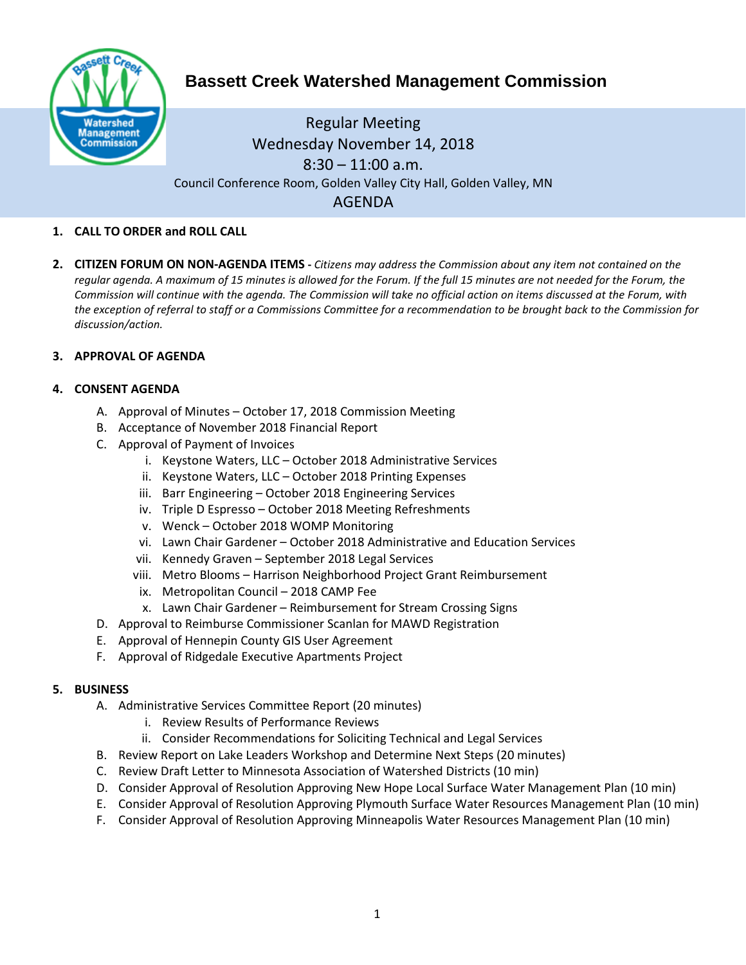

# **Bassett Creek Watershed Management Commission**

# Regular Meeting Wednesday November 14, 2018  $8:30 - 11:00$  a.m. Council Conference Room, Golden Valley City Hall, Golden Valley, MN AGENDA

# **1. CALL TO ORDER and ROLL CALL**

**2. CITIZEN FORUM ON NON-AGENDA ITEMS -** *Citizens may address the Commission about any item not contained on the regular agenda. A maximum of 15 minutes is allowed for the Forum. If the full 15 minutes are not needed for the Forum, the Commission will continue with the agenda. The Commission will take no official action on items discussed at the Forum, with the exception of referral to staff or a Commissions Committee for a recommendation to be brought back to the Commission for discussion/action.*

#### **3. APPROVAL OF AGENDA**

#### **4. CONSENT AGENDA**

- A. Approval of Minutes October 17, 2018 Commission Meeting
- B. Acceptance of November 2018 Financial Report
- C. Approval of Payment of Invoices
	- i. Keystone Waters, LLC October 2018 Administrative Services
	- ii. Keystone Waters, LLC October 2018 Printing Expenses
	- iii. Barr Engineering October 2018 Engineering Services
	- iv. Triple D Espresso October 2018 Meeting Refreshments
	- v. Wenck October 2018 WOMP Monitoring
	- vi. Lawn Chair Gardener October 2018 Administrative and Education Services
	- vii. Kennedy Graven September 2018 Legal Services
	- viii. Metro Blooms Harrison Neighborhood Project Grant Reimbursement
	- ix. Metropolitan Council 2018 CAMP Fee
	- x. Lawn Chair Gardener Reimbursement for Stream Crossing Signs
- D. Approval to Reimburse Commissioner Scanlan for MAWD Registration
- E. Approval of Hennepin County GIS User Agreement
- F. Approval of Ridgedale Executive Apartments Project

#### **5. BUSINESS**

- A. Administrative Services Committee Report (20 minutes)
	- i. Review Results of Performance Reviews
	- ii. Consider Recommendations for Soliciting Technical and Legal Services
- B. Review Report on Lake Leaders Workshop and Determine Next Steps (20 minutes)
- C. Review Draft Letter to Minnesota Association of Watershed Districts (10 min)
- D. Consider Approval of Resolution Approving New Hope Local Surface Water Management Plan (10 min)
- E. Consider Approval of Resolution Approving Plymouth Surface Water Resources Management Plan (10 min)
- F. Consider Approval of Resolution Approving Minneapolis Water Resources Management Plan (10 min)